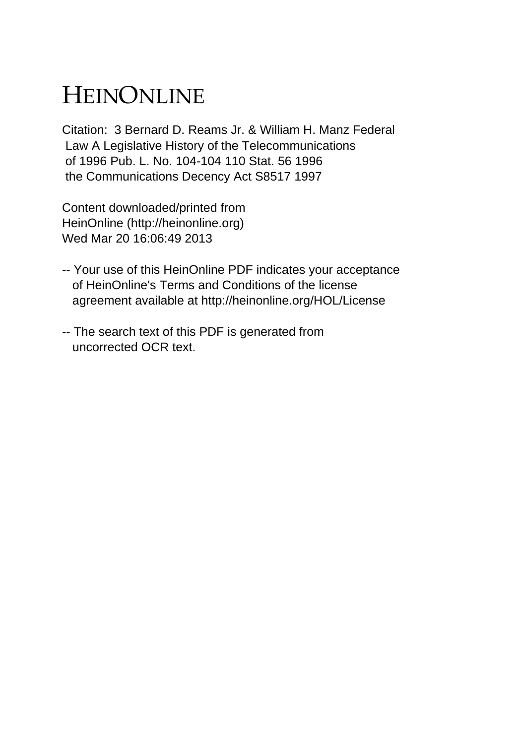# HEINONLINE

Citation: 3 Bernard D. Reams Jr. & William H. Manz Federal Law A Legislative History of the Telecommunications of 1996 Pub. L. No. 104-104 110 Stat. 56 1996 the Communications Decency Act S8517 1997

Content downloaded/printed from HeinOnline (http://heinonline.org) Wed Mar 20 16:06:49 2013

- -- Your use of this HeinOnline PDF indicates your acceptance of HeinOnline's Terms and Conditions of the license agreement available at http://heinonline.org/HOL/License
- -- The search text of this PDF is generated from uncorrected OCR text.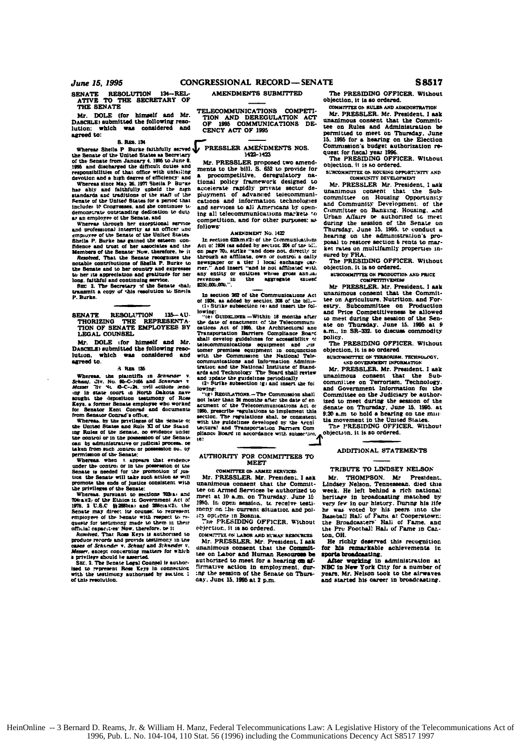SENATE RESOLUTION 134-REL-<br>ATIVE TO THE SECRETARY OF THE SENATE

Mr. DOLE (for himself and Mr.<br>DASCHLE) submitted the following resolution: which was considered and agreed to:

#### **S. RES. 134**

S. ASS. 139<br>Whereas Shella P Burke faithfully served<br>the Senate of the United States as Secretary<br>of the Senate from January 4. 1996 to June 8.<br>Mr. PRESSLER proposed two aments of the Senate from January 4. 1996 to June 8.

devotion and a high degree of efficiency and<br>whereas since May 26, 1977 Sheila P Burne<br>has a high and faithfully upheld the nigh<br>standards and traditions of the stand of the factor<br>fermate of the Initial States for a perio

Whereas through her exceptional service where universe and integrity as an officer university<br>and professional integrity as an officer unuverse of the Uniter State.<br>Shella P. Burke has gained the esteem con-<br>fidence and trust of her associates and the<br>fidence an

fidence and trust of her associates and the model the<br>mbers of the Senate Now, therefore, he is Resolved, That the Senate recognizes the<br>notable contributions of Shella P. Burke to<br>the Senate and to her country and express

P Burke

**SENATE RESOLUTION** 135 THORIZING THE REPRESENTA-TION OF SENATE EMPLOYEES BY LEGAL COUNSEL

Mr. DOLE (for himself and Mr.<br>DASCHLE) submitted the following resolution, which was considered and agreed to.

#### 3 REA 135

Shear, 31: No. 1983-139<br>
Marriage V. Mo. 1967-1066 and Schmender v. Scheap 31: No. 1967-1066 and Schemeler v. 197<br>
Messer 31: No. 197-12-20, 1171 actions away<br>
ing in state court in North Dakota have<br>
Koys, a former Senat

Whereas, by the privileges of the Senate of the Stand ing Rules of the Stand ing Rules of the Stand ing Rules of the Stand. the control or in the nomest m of the Senate tar business or in the pussession of the Senate<br>can by administrative or judicial process. be<br>taken from such control or possession ou, by<br>permission of the Senate:

Whereas, when I appears that evidence whereas, when it speeds the promotion of the<br>Senate is needed for the promotion of jus-<br>tice the Senate will take such action as will promote the ends of justice consistent with<br>the privileges of the Senate:

the privileges of the Senate:<br>
Whereas, pursual to sections 703(a) and<br>
When/2, of the Ethics in Government Act of<br>
1978, 3 U.S.C. Hy286(a) and 288ca(42), the<br>
Senate may direc: its counse: to represent<br>
employee of the S

Resubted. That Roms Reys is authorized to<br>produce records and provide assimptly in the<br>cance of Schander v. Schaaf and Schander v. Measer.<br>expect concerning matters for which<br>a syrivilegre should be asserted.<br>SEC. 2. The S

of this n mutton AMENDMENTS SUBMITTED

TELECOMMUNICATIONS COMPETI-ELECOMMUNICATIONS COMPETI-<br>TION AND DEREGULATION ACT<br>OF 1995 COMMUNICATIONS DE-CENCY ACT OF 1995

Mr. PRESSLER proposed two amendments to the bill. S. 652 to provide for<br>a procompetitive. deregulatory national policy framework designed to accelerate rapidly private sector decations and information technologies and services to all Americans by onening all telecommunications markets to competition, and for other purposes; arfollows:

#### AMENDMENT No. 1422

Amazon and the Communications<br>act of 1994 (as added by section 204 of the Line in the Communications<br>act of 1994 (as added by section 204 of the Line<br>through an affiliate, own or control a daily<br>newspaper or a tier 1 local revenues in<br>\$250,000,000.". the segregate **STANDAR** 

In section 262 of the Communications Act<br>of 1934, as added by sectior, 308 of the bill-<br>(1) Strike subsection (e) and insert the fol-

lowing:<br>"te: GUIDELINES --Within 18 months after ter connectment of the Telecomeration cations are:<br>cations Act of 1995, the Architectural and<br>Transportation Barriers Compliance Board Fransportation Earthern Computation<br>and develop guidelines for accessibility of<br>telecommunications equipment and customer premiese equipment in conjunction<br>with the Communication the National Telewhich the Communications and Information Administration<br>communications and Information Administration and the National Institute of Standard<br>and Technology. The Board shall review<br>and Didate the guidelines periodically<br>(2)

lowing:<br>"(g) REGULATIONS.-The Commission shall.<br>"------ - after the date of en

"(2) REGULATIONS...-The Commission ahali and the site of end of the action of the Telecommunications Act of 1990, prescribe "equations to implement this section. The regulations shall be connatent this with the principle o

#### AUTHORITY FOR COMMITTEES TO **MEET**

COMMITTEE ON ARMEE SERVICES Mr. PRESSLER. Mr. President. I ask<br>unanimous consent that the Committee on Armed Services be authorized to meet at 10 a.m. on Thursday. June 15 1995. in open session, to receive testimeny on the current situation and polvorten in Bosnia.<br>Voptions in Bosnia.<br>The PRESIDING OFFICER, Without 103.

objection, it is so ordered.

COMMITTEE ON LABOR AND HUMAN RESOURCES Mr. PRESSLER. Mr. President, I ask unanimous consent that the Commitauthorized to meet for a hearing on affirmative action in employment, dur-<br>ing the session of the Senate on Thurscay. June 15, 1995 at 2 p.m.

The PRESIDING OFFICER. Without objection, it is so ordered. **COMMITTEE ON RULES AND ADMINISTRATION** 

Mr. PRESSLER. Mr. President. I ask unanimous consent that the Commit. tee on Rules and Administration be permitted to meet on Thursday. June<br>15. 1995 for a hearing on the Election commussion's budget authorization request for fiscal year 1996.<br>The PRESIDING OFFICER. Without

Objection, it is so ordered.

SURCOMMITTEE OF HOUSING OPPORTUNITY AND COMMUNITY DEVELOPMENT

Mr. PRESSLER Mr. President. 1 ask unanimous consent that the Sub-<br>committee on Housing Opportunity<br>and Community Development of the and Community Development, of the<br>Committee on Banking, Housing, and<br>Urban Aifairs be authorized to meet<br>during the session of the Senate on<br>Thursday, June 15, 1995. to conduct a<br>hearing on the administration's proposs) to restore section & rents to market rates on multifamily properties in-

sured by FHA.<br>The PRESIDING OFFICER. Without objection. it is so ordered.

**SUBCOMMITTEE ON PRODUCTION AND PRICE COMPRITTY ENERG** 

Mr PRESSLER Mr President Lask unanimous consent that the Committee on Agriculture. Nutrition, and Forestry. Subcommittee on Production<br>and Price Competitiveness be allowed and the compact during the season of the Senate on Thursday. June 15. 1995 at 9 a.m., in SR-332. to discuss commodity policy.<br>The PRESIDING OFFICER, Without

objection, it is so ordered

BUBCOMMITTEE ON TERRORISM, TECHNOLOGY, AND GOVERNMENT INFORMATION

Mr. PRESSLER. Mr. President. I ask<br>unanimous consent that the Subcommittee on Terrorism, Technology. and Government Information for the Committee on the Judiciary be authorized to meet during the session of the Senate on Thursday. June 15. 1995. at 9:30 a.m to hold a hearing on the militia movement in the United States.<br>The PRESIDING OFFICER. Without

wint the PRESIDING OFFICE of the Political Relation. it is so ordered.

### ADDITIONAL STATEMENTS

#### TRIBUTE TO LINDSEY NELSON

Mr. THOMPSON, Mr. President. Lindsey Nelson, Tennessean, died this week. He left behind a rich national heritage in broadcasting matched by very few in our history. During his life he was voted by his peers into the Baseball Hall of Fame at Cooperatown: the Broadcasters' Hall of Fame, and the Pro Football Hall of Fame in Car. ton. OH

He richly deserved this recognition for his remarkable achievements in

source and remains and solutions of the state of the state of the state of the state of the state of the state of the state of the state of the state of the state of the state of the state of the state of the state of the and started his career in broadcasting.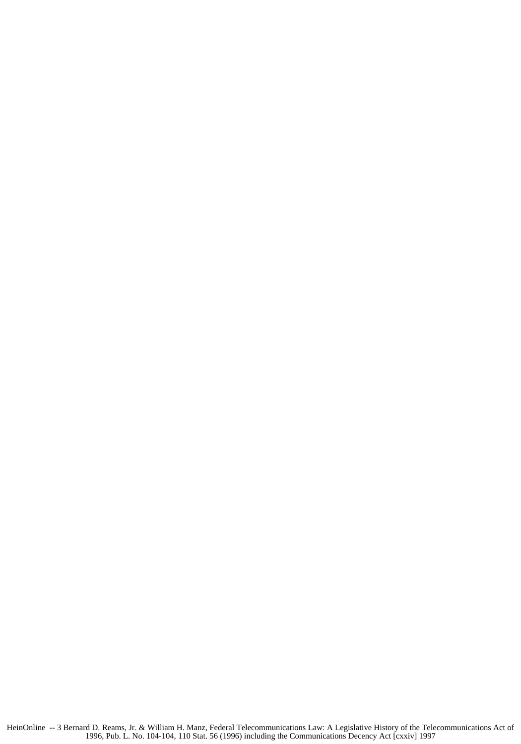HeinOnline -- 3 Bernard D. Reams, Jr. & William H. Manz, Federal Telecommunications Law: A Legislative History of the Telecommunications Act of 1996, Pub. L. No. 104-104, 110 Stat. 56 (1996) including the Communications Decency Act [cxxiv] 1997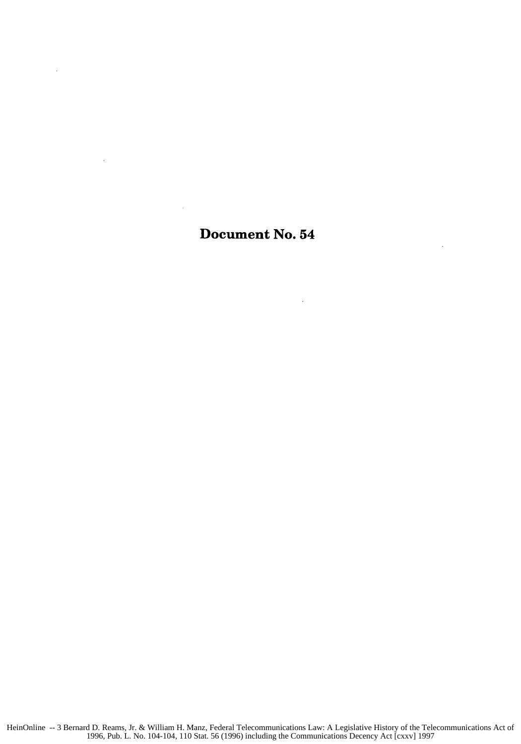## Document No. 54

 $\ddot{\phantom{a}}$ 

 $\sim$ 

 $\bar{\Delta}$ 

 $\mathcal{A}$